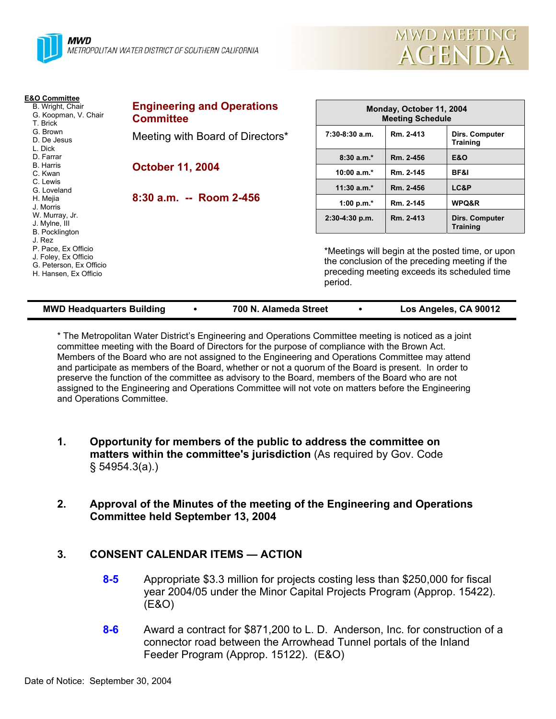



| E&O Committee<br>B. Wright, Chair<br>G. Koopman, V. Chair<br>T. Brick<br>G. Brown<br>D. De Jesus<br>L. Dick<br>D. Farrar<br><b>B.</b> Harris<br>C. Kwan                                        | <b>Engineering and Operations</b><br><b>Committee</b> | Monday, October 11, 2004<br><b>Meeting Schedule</b>                                                                                                           |           |                                   |  |
|------------------------------------------------------------------------------------------------------------------------------------------------------------------------------------------------|-------------------------------------------------------|---------------------------------------------------------------------------------------------------------------------------------------------------------------|-----------|-----------------------------------|--|
|                                                                                                                                                                                                | Meeting with Board of Directors*                      | $7:30-8:30$ a.m.                                                                                                                                              | Rm. 2-413 | Dirs. Computer<br><b>Training</b> |  |
|                                                                                                                                                                                                | <b>October 11, 2004</b>                               | $8:30a.m.*$                                                                                                                                                   | Rm. 2-456 | <b>E&amp;O</b>                    |  |
|                                                                                                                                                                                                |                                                       | $10:00 a.m.*$                                                                                                                                                 | Rm. 2-145 | BF&I                              |  |
| C. Lewis<br>G. Loveland                                                                                                                                                                        | 8:30 a.m. -- Room 2-456                               | $11:30$ a.m. <sup>*</sup>                                                                                                                                     | Rm. 2-456 | LC&P                              |  |
| H. Mejia<br>J. Morris<br>W. Murray, Jr.<br>J. Mylne, III<br><b>B.</b> Pocklington<br>J. Rez<br>P. Pace, Ex Officio<br>J. Foley, Ex Officio<br>G. Peterson, Ex Officio<br>H. Hansen, Ex Officio |                                                       | 1:00 p.m. $*$                                                                                                                                                 | Rm. 2-145 | WPQ&R                             |  |
|                                                                                                                                                                                                |                                                       | $2:30-4:30$ p.m.                                                                                                                                              | Rm. 2-413 | Dirs. Computer<br><b>Training</b> |  |
|                                                                                                                                                                                                |                                                       | *Meetings will begin at the posted time, or upon<br>the conclusion of the preceding meeting if the<br>preceding meeting exceeds its scheduled time<br>period. |           |                                   |  |

| <b>MWD Headquarters Building</b> |  | 700 N. Alameda Street |  | Los Angeles, CA 90012 |
|----------------------------------|--|-----------------------|--|-----------------------|
|----------------------------------|--|-----------------------|--|-----------------------|

\* The Metropolitan Water District's Engineering and Operations Committee meeting is noticed as a joint committee meeting with the Board of Directors for the purpose of compliance with the Brown Act. Members of the Board who are not assigned to the Engineering and Operations Committee may attend and participate as members of the Board, whether or not a quorum of the Board is present. In order to preserve the function of the committee as advisory to the Board, members of the Board who are not assigned to the Engineering and Operations Committee will not vote on matters before the Engineering and Operations Committee.

- **1. Opportunity for members of the public to address the committee on matters within the committee's jurisdiction** (As required by Gov. Code § 54954.3(a).)
- **2. Approval of the Minutes of the meeting of the Engineering and Operations Committee held September 13, 2004**

# **3. CONSENT CALENDAR ITEMS — ACTION**

- **8-5** Appropriate \$3.3 million for projects costing less than \$250,000 for fiscal year 2004/05 under the Minor Capital Projects Program (Approp. 15422). (E&O)
- **8-6** Award a contract for \$871,200 to L. D. Anderson, Inc. for construction of a connector road between the Arrowhead Tunnel portals of the Inland Feeder Program (Approp. 15122). (E&O)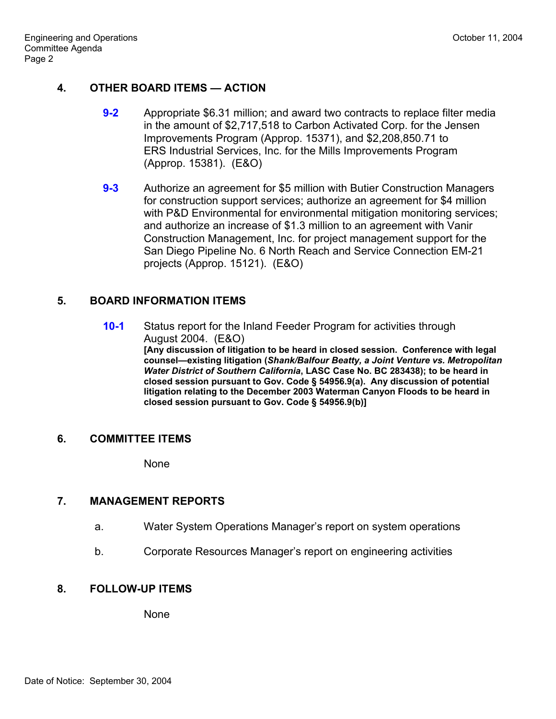## **4. OTHER BOARD ITEMS — ACTION**

- **9-2** Appropriate \$6.31 million; and award two contracts to replace filter media in the amount of \$2,717,518 to Carbon Activated Corp. for the Jensen Improvements Program (Approp. 15371), and \$2,208,850.71 to ERS Industrial Services, Inc. for the Mills Improvements Program (Approp. 15381). (E&O)
- **9-3** Authorize an agreement for \$5 million with Butier Construction Managers for construction support services; authorize an agreement for \$4 million with P&D Environmental for environmental mitigation monitoring services; and authorize an increase of \$1.3 million to an agreement with Vanir Construction Management, Inc. for project management support for the San Diego Pipeline No. 6 North Reach and Service Connection EM-21 projects (Approp. 15121). (E&O)

### **5. BOARD INFORMATION ITEMS**

**10-1** Status report for the Inland Feeder Program for activities through August 2004. (E&O) **[Any discussion of litigation to be heard in closed session. Conference with legal counsel—existing litigation (***Shank/Balfour Beatty, a Joint Venture vs. Metropolitan Water District of Southern California***, LASC Case No. BC 283438); to be heard in closed session pursuant to Gov. Code § 54956.9(a). Any discussion of potential litigation relating to the December 2003 Waterman Canyon Floods to be heard in closed session pursuant to Gov. Code § 54956.9(b)]**

#### **6. COMMITTEE ITEMS**

None

### **7. MANAGEMENT REPORTS**

- a. Water System Operations Manager's report on system operations
- b. Corporate Resources Manager's report on engineering activities

### **8. FOLLOW-UP ITEMS**

None